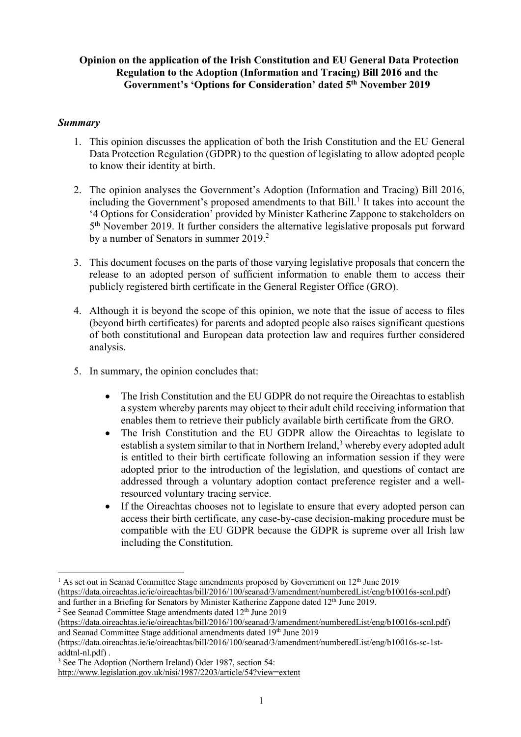### **Opinion on the application of the Irish Constitution and EU General Data Protection Regulation to the Adoption (Information and Tracing) Bill 2016 and the Government's 'Options for Consideration' dated 5th November 2019**

#### *Summary*

- 1. This opinion discusses the application of both the Irish Constitution and the EU General Data Protection Regulation (GDPR) to the question of legislating to allow adopted people to know their identity at birth.
- 2. The opinion analyses the Government's Adoption (Information and Tracing) Bill 2016, including the Government's proposed amendments to that Bill. <sup>1</sup> It takes into account the '4 Options for Consideration' provided by Minister Katherine Zappone to stakeholders on 5<sup>th</sup> November 2019. It further considers the alternative legislative proposals put forward by a number of Senators in summer 2019. 2
- 3. This document focuses on the parts of those varying legislative proposals that concern the release to an adopted person of sufficient information to enable them to access their publicly registered birth certificate in the General Register Office (GRO).
- 4. Although it is beyond the scope of this opinion, we note that the issue of access to files (beyond birth certificates) for parents and adopted people also raises significant questions of both constitutional and European data protection law and requires further considered analysis.
- 5. In summary, the opinion concludes that:
	- The Irish Constitution and the EU GDPR do not require the Oireachtas to establish a system whereby parents may object to their adult child receiving information that enables them to retrieve their publicly available birth certificate from the GRO.
	- The Irish Constitution and the EU GDPR allow the Oireachtas to legislate to establish a system similar to that in Northern Ireland, $3$  whereby every adopted adult is entitled to their birth certificate following an information session if they were adopted prior to the introduction of the legislation, and questions of contact are addressed through a voluntary adoption contact preference register and a wellresourced voluntary tracing service.
	- If the Oireachtas chooses not to legislate to ensure that every adopted person can access their birth certificate, any case-by-case decision-making procedure must be compatible with the EU GDPR because the GDPR is supreme over all Irish law including the Constitution.

 $2$  See Seanad Committee Stage amendments dated  $12<sup>th</sup>$  June 2019

 $1$  As set out in Seanad Committee Stage amendments proposed by Government on  $12<sup>th</sup>$  June 2019 (https://data.oireachtas.ie/ie/oireachtas/bill/2016/100/seanad/3/amendment/numberedList/eng/b10016s-scnl.pdf) and further in a Briefing for Senators by Minister Katherine Zappone dated  $12<sup>th</sup>$  June 2019.

<sup>(</sup>https://data.oireachtas.ie/ie/oireachtas/bill/2016/100/seanad/3/amendment/numberedList/eng/b10016s-scnl.pdf) and Seanad Committee Stage additional amendments dated 19th June 2019

<sup>(</sup>https://data.oireachtas.ie/ie/oireachtas/bill/2016/100/seanad/3/amendment/numberedList/eng/b10016s-sc-1staddtnl-nl.pdf) .

<sup>3</sup> See The Adoption (Northern Ireland) Oder 1987, section 54: http://www.legislation.gov.uk/nisi/1987/2203/article/54?view=extent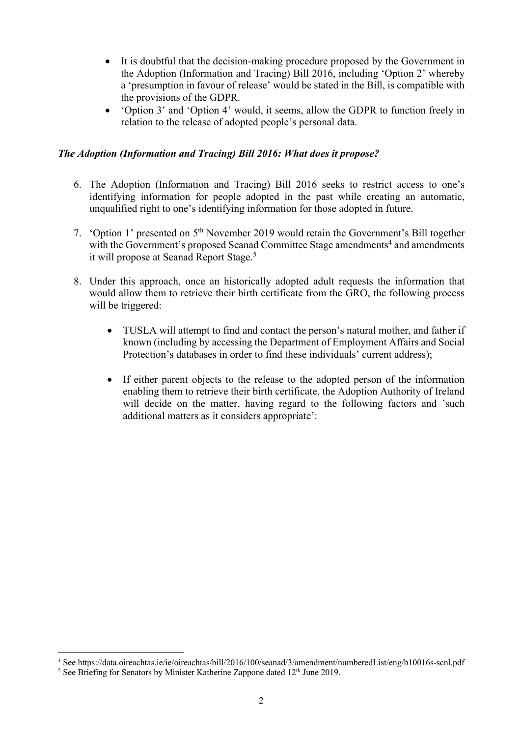- It is doubtful that the decision-making procedure proposed by the Government in the Adoption (Information and Tracing) Bill 2016, including 'Option 2' whereby a 'presumption in favour of release' would be stated in the Bill, is compatible with the provisions of the GDPR.
- 'Option 3' and 'Option 4' would, it seems, allow the GDPR to function freely in relation to the release of adopted people's personal data.

# *The Adoption (Information and Tracing) Bill 2016: What does it propose?*

- 6. The Adoption (Information and Tracing) Bill 2016 seeks to restrict access to one's identifying information for people adopted in the past while creating an automatic, unqualified right to one's identifying information for those adopted in future.
- 7. 'Option 1' presented on 5th November 2019 would retain the Government's Bill together with the Government's proposed Seanad Committee Stage amendments<sup>4</sup> and amendments it will propose at Seanad Report Stage.<sup>5</sup>
- 8. Under this approach, once an historically adopted adult requests the information that would allow them to retrieve their birth certificate from the GRO, the following process will be triggered:
	- TUSLA will attempt to find and contact the person's natural mother, and father if known (including by accessing the Department of Employment Affairs and Social Protection's databases in order to find these individuals' current address);
	- If either parent objects to the release to the adopted person of the information enabling them to retrieve their birth certificate, the Adoption Authority of Ireland will decide on the matter, having regard to the following factors and 'such additional matters as it considers appropriate':

<sup>4</sup> See https://data.oireachtas.ie/ie/oireachtas/bill/2016/100/seanad/3/amendment/numberedList/eng/b10016s-scnl.pdf

 $5$  See Briefing for Senators by Minister Katherine Zappone dated  $12<sup>th</sup>$  June 2019.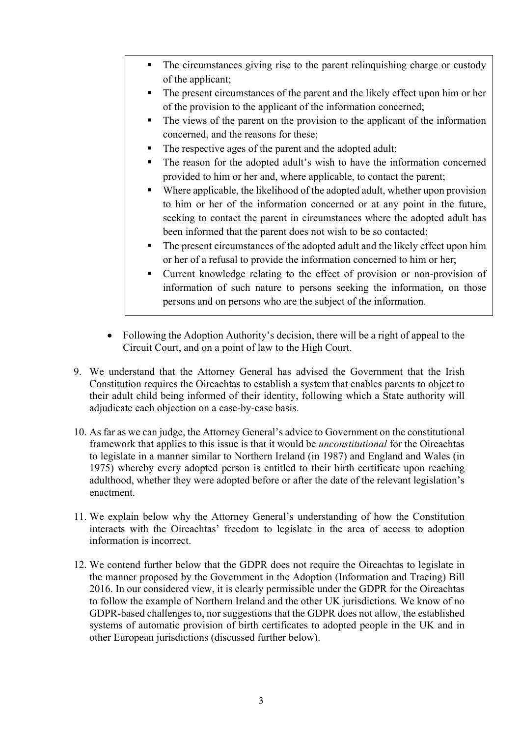- The circumstances giving rise to the parent relinquishing charge or custody of the applicant;
- The present circumstances of the parent and the likely effect upon him or her of the provision to the applicant of the information concerned;
- The views of the parent on the provision to the applicant of the information concerned, and the reasons for these;
- The respective ages of the parent and the adopted adult;
- The reason for the adopted adult's wish to have the information concerned provided to him or her and, where applicable, to contact the parent;
- Where applicable, the likelihood of the adopted adult, whether upon provision to him or her of the information concerned or at any point in the future, seeking to contact the parent in circumstances where the adopted adult has been informed that the parent does not wish to be so contacted;
- The present circumstances of the adopted adult and the likely effect upon him or her of a refusal to provide the information concerned to him or her;
- Current knowledge relating to the effect of provision or non-provision of information of such nature to persons seeking the information, on those persons and on persons who are the subject of the information.
- Following the Adoption Authority's decision, there will be a right of appeal to the Circuit Court, and on a point of law to the High Court.
- 9. We understand that the Attorney General has advised the Government that the Irish Constitution requires the Oireachtas to establish a system that enables parents to object to their adult child being informed of their identity, following which a State authority will adjudicate each objection on a case-by-case basis.
- 10. As far as we can judge, the Attorney General's advice to Government on the constitutional framework that applies to this issue is that it would be *unconstitutional* for the Oireachtas to legislate in a manner similar to Northern Ireland (in 1987) and England and Wales (in 1975) whereby every adopted person is entitled to their birth certificate upon reaching adulthood, whether they were adopted before or after the date of the relevant legislation's enactment.
- 11. We explain below why the Attorney General's understanding of how the Constitution interacts with the Oireachtas' freedom to legislate in the area of access to adoption information is incorrect.
- 12. We contend further below that the GDPR does not require the Oireachtas to legislate in the manner proposed by the Government in the Adoption (Information and Tracing) Bill 2016. In our considered view, it is clearly permissible under the GDPR for the Oireachtas to follow the example of Northern Ireland and the other UK jurisdictions. We know of no GDPR-based challenges to, nor suggestions that the GDPR does not allow, the established systems of automatic provision of birth certificates to adopted people in the UK and in other European jurisdictions (discussed further below).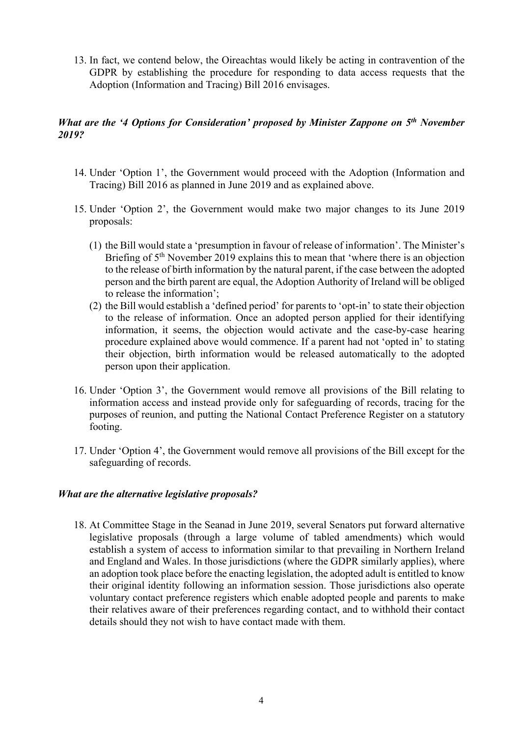13. In fact, we contend below, the Oireachtas would likely be acting in contravention of the GDPR by establishing the procedure for responding to data access requests that the Adoption (Information and Tracing) Bill 2016 envisages.

# *What are the '4 Options for Consideration' proposed by Minister Zappone on 5th November 2019?*

- 14. Under 'Option 1', the Government would proceed with the Adoption (Information and Tracing) Bill 2016 as planned in June 2019 and as explained above.
- 15. Under 'Option 2', the Government would make two major changes to its June 2019 proposals:
	- (1) the Bill would state a 'presumption in favour of release of information'. The Minister's Briefing of 5<sup>th</sup> November 2019 explains this to mean that 'where there is an objection to the release of birth information by the natural parent, if the case between the adopted person and the birth parent are equal, the Adoption Authority of Ireland will be obliged to release the information';
	- (2) the Bill would establish a 'defined period' for parents to 'opt-in' to state their objection to the release of information. Once an adopted person applied for their identifying information, it seems, the objection would activate and the case-by-case hearing procedure explained above would commence. If a parent had not 'opted in' to stating their objection, birth information would be released automatically to the adopted person upon their application.
- 16. Under 'Option 3', the Government would remove all provisions of the Bill relating to information access and instead provide only for safeguarding of records, tracing for the purposes of reunion, and putting the National Contact Preference Register on a statutory footing.
- 17. Under 'Option 4', the Government would remove all provisions of the Bill except for the safeguarding of records.

#### *What are the alternative legislative proposals?*

18. At Committee Stage in the Seanad in June 2019, several Senators put forward alternative legislative proposals (through a large volume of tabled amendments) which would establish a system of access to information similar to that prevailing in Northern Ireland and England and Wales. In those jurisdictions (where the GDPR similarly applies), where an adoption took place before the enacting legislation, the adopted adult is entitled to know their original identity following an information session. Those jurisdictions also operate voluntary contact preference registers which enable adopted people and parents to make their relatives aware of their preferences regarding contact, and to withhold their contact details should they not wish to have contact made with them.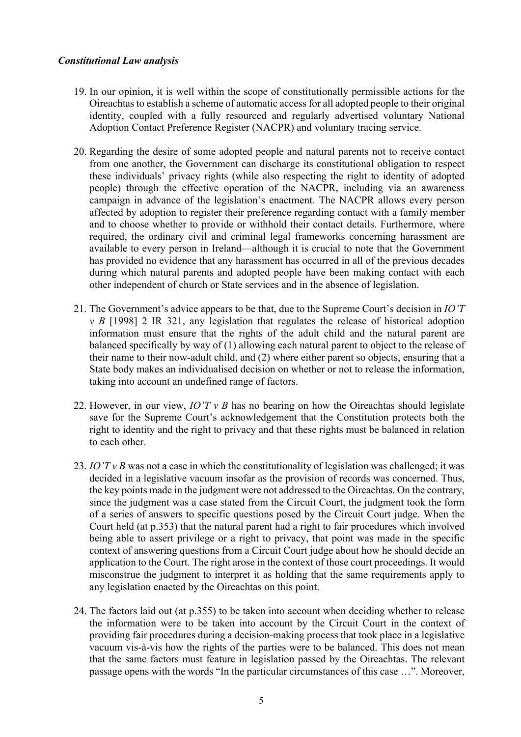#### *Constitutional Law analysis*

- 19. In our opinion, it is well within the scope of constitutionally permissible actions for the Oireachtas to establish a scheme of automatic access for all adopted people to their original identity, coupled with a fully resourced and regularly advertised voluntary National Adoption Contact Preference Register (NACPR) and voluntary tracing service.
- 20. Regarding the desire of some adopted people and natural parents not to receive contact from one another, the Government can discharge its constitutional obligation to respect these individuals' privacy rights (while also respecting the right to identity of adopted people) through the effective operation of the NACPR, including via an awareness campaign in advance of the legislation's enactment. The NACPR allows every person affected by adoption to register their preference regarding contact with a family member and to choose whether to provide or withhold their contact details. Furthermore, where required, the ordinary civil and criminal legal frameworks concerning harassment are available to every person in Ireland—although it is crucial to note that the Government has provided no evidence that any harassment has occurred in all of the previous decades during which natural parents and adopted people have been making contact with each other independent of church or State services and in the absence of legislation.
- 21. The Government's advice appears to be that, due to the Supreme Court's decision in *IO'T v B* [1998] 2 IR 321, any legislation that regulates the release of historical adoption information must ensure that the rights of the adult child and the natural parent are balanced specifically by way of (1) allowing each natural parent to object to the release of their name to their now-adult child, and (2) where either parent so objects, ensuring that a State body makes an individualised decision on whether or not to release the information, taking into account an undefined range of factors.
- 22. However, in our view, *IO'T v B* has no bearing on how the Oireachtas should legislate save for the Supreme Court's acknowledgement that the Constitution protects both the right to identity and the right to privacy and that these rights must be balanced in relation to each other.
- 23. *IO'T v B* was not a case in which the constitutionality of legislation was challenged; it was decided in a legislative vacuum insofar as the provision of records was concerned. Thus, the key points made in the judgment were not addressed to the Oireachtas. On the contrary, since the judgment was a case stated from the Circuit Court, the judgment took the form of a series of answers to specific questions posed by the Circuit Court judge. When the Court held (at p.353) that the natural parent had a right to fair procedures which involved being able to assert privilege or a right to privacy, that point was made in the specific context of answering questions from a Circuit Court judge about how he should decide an application to the Court. The right arose in the context of those court proceedings. It would misconstrue the judgment to interpret it as holding that the same requirements apply to any legislation enacted by the Oireachtas on this point.
- 24. The factors laid out (at p.355) to be taken into account when deciding whether to release the information were to be taken into account by the Circuit Court in the context of providing fair procedures during a decision-making process that took place in a legislative vacuum vis-à-vis how the rights of the parties were to be balanced. This does not mean that the same factors must feature in legislation passed by the Oireachtas. The relevant passage opens with the words "In the particular circumstances of this case …". Moreover,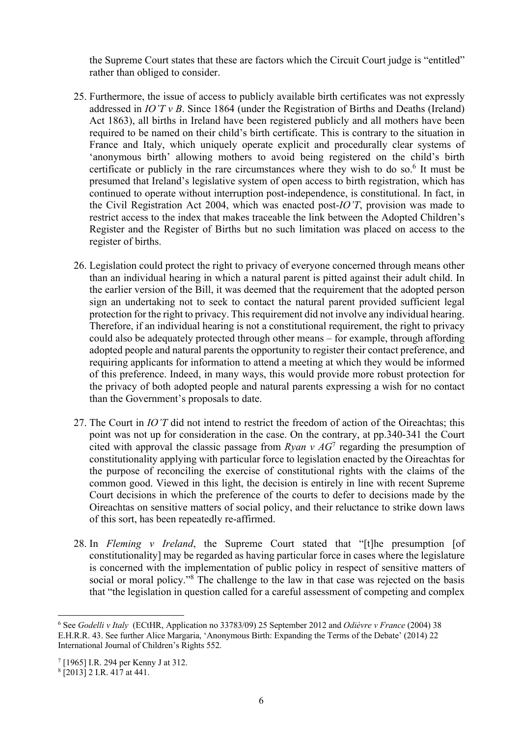the Supreme Court states that these are factors which the Circuit Court judge is "entitled" rather than obliged to consider.

- 25. Furthermore, the issue of access to publicly available birth certificates was not expressly addressed in *IO'T v B*. Since 1864 (under the Registration of Births and Deaths (Ireland) Act 1863), all births in Ireland have been registered publicly and all mothers have been required to be named on their child's birth certificate. This is contrary to the situation in France and Italy, which uniquely operate explicit and procedurally clear systems of 'anonymous birth' allowing mothers to avoid being registered on the child's birth certificate or publicly in the rare circumstances where they wish to do so. <sup>6</sup> It must be presumed that Ireland's legislative system of open access to birth registration, which has continued to operate without interruption post-independence, is constitutional. In fact, in the Civil Registration Act 2004, which was enacted post-*IO'T*, provision was made to restrict access to the index that makes traceable the link between the Adopted Children's Register and the Register of Births but no such limitation was placed on access to the register of births.
- 26. Legislation could protect the right to privacy of everyone concerned through means other than an individual hearing in which a natural parent is pitted against their adult child. In the earlier version of the Bill, it was deemed that the requirement that the adopted person sign an undertaking not to seek to contact the natural parent provided sufficient legal protection for the right to privacy. This requirement did not involve any individual hearing. Therefore, if an individual hearing is not a constitutional requirement, the right to privacy could also be adequately protected through other means – for example, through affording adopted people and natural parents the opportunity to register their contact preference, and requiring applicants for information to attend a meeting at which they would be informed of this preference. Indeed, in many ways, this would provide more robust protection for the privacy of both adopted people and natural parents expressing a wish for no contact than the Government's proposals to date.
- 27. The Court in *IO'T* did not intend to restrict the freedom of action of the Oireachtas; this point was not up for consideration in the case. On the contrary, at pp.340-341 the Court cited with approval the classic passage from *Ryan v AG*<sup>7</sup> regarding the presumption of constitutionality applying with particular force to legislation enacted by the Oireachtas for the purpose of reconciling the exercise of constitutional rights with the claims of the common good. Viewed in this light, the decision is entirely in line with recent Supreme Court decisions in which the preference of the courts to defer to decisions made by the Oireachtas on sensitive matters of social policy, and their reluctance to strike down laws of this sort, has been repeatedly re-affirmed.
- 28. In *Fleming v Ireland*, the Supreme Court stated that "[t]he presumption [of constitutionality] may be regarded as having particular force in cases where the legislature is concerned with the implementation of public policy in respect of sensitive matters of social or moral policy."<sup>8</sup> The challenge to the law in that case was rejected on the basis that "the legislation in question called for a careful assessment of competing and complex

<sup>6</sup> See *Godelli v Italy* (ECtHR, Application no 33783/09) 25 September 2012 and *Odièvre v France* (2004) 38 E.H.R.R. 43. See further Alice Margaria, 'Anonymous Birth: Expanding the Terms of the Debate' (2014) 22 International Journal of Children's Rights 552.

<sup>7</sup> [1965] I.R. 294 per Kenny J at 312.

 $8$ [2013] 2 I.R. 417 at 441.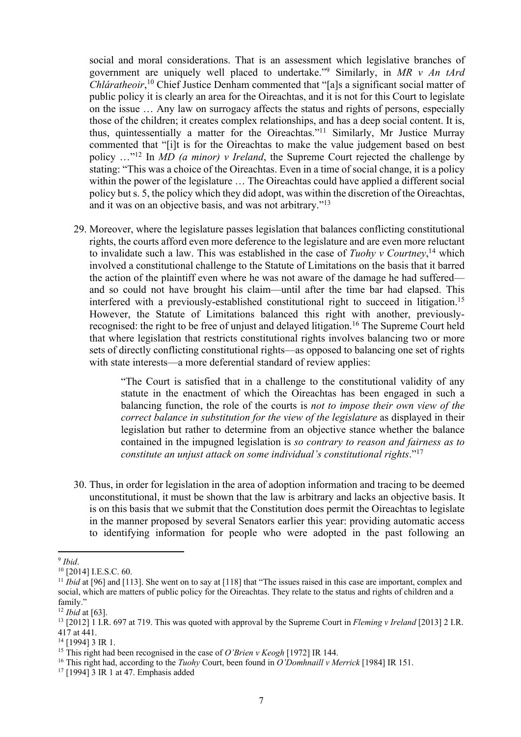social and moral considerations. That is an assessment which legislative branches of government are uniquely well placed to undertake."9 Similarly, in *MR v An tArd Chláratheoir*, <sup>10</sup> Chief Justice Denham commented that "[a]s a significant social matter of public policy it is clearly an area for the Oireachtas, and it is not for this Court to legislate on the issue … Any law on surrogacy affects the status and rights of persons, especially those of the children; it creates complex relationships, and has a deep social content. It is, thus, quintessentially a matter for the Oireachtas."11 Similarly, Mr Justice Murray commented that "[i]t is for the Oireachtas to make the value judgement based on best policy …"12 In *MD (a minor) v Ireland*, the Supreme Court rejected the challenge by stating: "This was a choice of the Oireachtas. Even in a time of social change, it is a policy within the power of the legislature … The Oireachtas could have applied a different social policy but s. 5, the policy which they did adopt, was within the discretion of the Oireachtas, and it was on an objective basis, and was not arbitrary."13

29. Moreover, where the legislature passes legislation that balances conflicting constitutional rights, the courts afford even more deference to the legislature and are even more reluctant to invalidate such a law. This was established in the case of *Tuohy v Courtney*, <sup>14</sup> which involved a constitutional challenge to the Statute of Limitations on the basis that it barred the action of the plaintiff even where he was not aware of the damage he had suffered and so could not have brought his claim—until after the time bar had elapsed. This interfered with a previously-established constitutional right to succeed in litigation.15 However, the Statute of Limitations balanced this right with another, previouslyrecognised: the right to be free of unjust and delayed litigation.<sup>16</sup> The Supreme Court held that where legislation that restricts constitutional rights involves balancing two or more sets of directly conflicting constitutional rights—as opposed to balancing one set of rights with state interests—a more deferential standard of review applies:

> "The Court is satisfied that in a challenge to the constitutional validity of any statute in the enactment of which the Oireachtas has been engaged in such a balancing function, the role of the courts is *not to impose their own view of the correct balance in substitution for the view of the legislature* as displayed in their legislation but rather to determine from an objective stance whether the balance contained in the impugned legislation is *so contrary to reason and fairness as to constitute an unjust attack on some individual's constitutional rights*."17

30. Thus, in order for legislation in the area of adoption information and tracing to be deemed unconstitutional, it must be shown that the law is arbitrary and lacks an objective basis. It is on this basis that we submit that the Constitution does permit the Oireachtas to legislate in the manner proposed by several Senators earlier this year: providing automatic access to identifying information for people who were adopted in the past following an

<sup>9</sup> *Ibid*.

<sup>&</sup>lt;sup>10</sup> [2014] I.E.S.C. 60.

<sup>&</sup>lt;sup>11</sup> *Ibid* at [96] and [113]. She went on to say at [118] that "The issues raised in this case are important, complex and social, which are matters of public policy for the Oireachtas. They relate to the status and rights of children and a family."

<sup>12</sup> *Ibid* at [63].

<sup>13</sup> [2012] 1 I.R. 697 at 719. This was quoted with approval by the Supreme Court in *Fleming v Ireland* [2013] 2 I.R. 417 at 441.

<sup>&</sup>lt;sup>14</sup> [1994] 3 IR 1.

<sup>&</sup>lt;sup>15</sup> This right had been recognised in the case of *O'Brien v Keogh* [1972] IR 144.

<sup>16</sup> This right had, according to the *Tuohy* Court, been found in *O'Domhnaill v Merrick* [1984] IR 151.

<sup>&</sup>lt;sup>17</sup> [1994] 3 IR 1 at 47. Emphasis added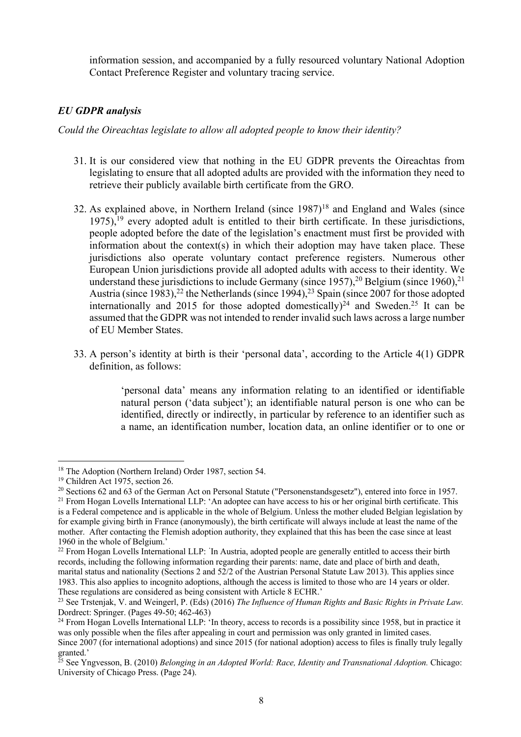information session, and accompanied by a fully resourced voluntary National Adoption Contact Preference Register and voluntary tracing service.

# *EU GDPR analysis*

*Could the Oireachtas legislate to allow all adopted people to know their identity?*

- 31. It is our considered view that nothing in the EU GDPR prevents the Oireachtas from legislating to ensure that all adopted adults are provided with the information they need to retrieve their publicly available birth certificate from the GRO.
- 32. As explained above, in Northern Ireland (since  $1987$ )<sup>18</sup> and England and Wales (since 1975),<sup>19</sup> every adopted adult is entitled to their birth certificate. In these jurisdictions, people adopted before the date of the legislation's enactment must first be provided with information about the context(s) in which their adoption may have taken place. These jurisdictions also operate voluntary contact preference registers. Numerous other European Union jurisdictions provide all adopted adults with access to their identity. We understand these jurisdictions to include Germany (since  $1957$ ),<sup>20</sup> Belgium (since  $1960$ ),<sup>21</sup> Austria (since 1983),<sup>22</sup> the Netherlands (since 1994),<sup>23</sup> Spain (since 2007 for those adopted internationally and 2015 for those adopted domestically)<sup>24</sup> and Sweden.<sup>25</sup> It can be assumed that the GDPR was not intended to render invalid such laws across a large number of EU Member States.
- 33. A person's identity at birth is their 'personal data', according to the Article 4(1) GDPR definition, as follows:

'personal data' means any information relating to an identified or identifiable natural person ('data subject'); an identifiable natural person is one who can be identified, directly or indirectly, in particular by reference to an identifier such as a name, an identification number, location data, an online identifier or to one or

<sup>&</sup>lt;sup>18</sup> The Adoption (Northern Ireland) Order 1987, section 54.

<sup>&</sup>lt;sup>19</sup> Children Act 1975, section 26.

<sup>&</sup>lt;sup>20</sup> Sections 62 and 63 of the German Act on Personal Statute ("Personenstandsgesetz"), entered into force in 1957. <sup>21</sup> From Hogan Lovells International LLP: 'An adoptee can have access to his or her original birth certificate. This is a Federal competence and is applicable in the whole of Belgium. Unless the mother eluded Belgian legislation by for example giving birth in France (anonymously), the birth certificate will always include at least the name of the mother. After contacting the Flemish adoption authority, they explained that this has been the case since at least 1960 in the whole of Belgium.'

<sup>&</sup>lt;sup>22</sup> From Hogan Lovells International LLP: 'In Austria, adopted people are generally entitled to access their birth records, including the following information regarding their parents: name, date and place of birth and death, marital status and nationality (Sections 2 and 52/2 of the Austrian Personal Statute Law 2013). This applies since 1983. This also applies to incognito adoptions, although the access is limited to those who are 14 years or older. These regulations are considered as being consistent with Article 8 ECHR.'

<sup>23</sup> See Trstenjak, V. and Weingerl, P. (Eds) (2016) *The Influence of Human Rights and Basic Rights in Private Law.* Dordrect: Springer. (Pages 49-50; 462-463)

<sup>&</sup>lt;sup>24</sup> From Hogan Lovells International LLP: 'In theory, access to records is a possibility since 1958, but in practice it was only possible when the files after appealing in court and permission was only granted in limited cases. Since 2007 (for international adoptions) and since 2015 (for national adoption) access to files is finally truly legally granted.'

<sup>25</sup> See Yngvesson, B. (2010) *Belonging in an Adopted World: Race, Identity and Transnational Adoption.* Chicago: University of Chicago Press. (Page 24).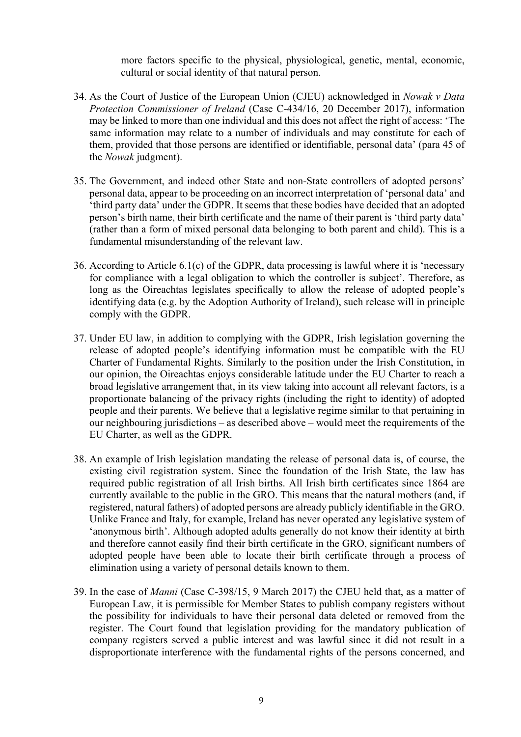more factors specific to the physical, physiological, genetic, mental, economic, cultural or social identity of that natural person.

- 34. As the Court of Justice of the European Union (CJEU) acknowledged in *Nowak v Data Protection Commissioner of Ireland* (Case C-434/16, 20 December 2017), information may be linked to more than one individual and this does not affect the right of access: 'The same information may relate to a number of individuals and may constitute for each of them, provided that those persons are identified or identifiable, personal data' (para 45 of the *Nowak* judgment).
- 35. The Government, and indeed other State and non-State controllers of adopted persons' personal data, appear to be proceeding on an incorrect interpretation of 'personal data' and 'third party data' under the GDPR. It seems that these bodies have decided that an adopted person's birth name, their birth certificate and the name of their parent is 'third party data' (rather than a form of mixed personal data belonging to both parent and child). This is a fundamental misunderstanding of the relevant law.
- 36. According to Article 6.1(c) of the GDPR, data processing is lawful where it is 'necessary for compliance with a legal obligation to which the controller is subject'. Therefore, as long as the Oireachtas legislates specifically to allow the release of adopted people's identifying data (e.g. by the Adoption Authority of Ireland), such release will in principle comply with the GDPR.
- 37. Under EU law, in addition to complying with the GDPR, Irish legislation governing the release of adopted people's identifying information must be compatible with the EU Charter of Fundamental Rights. Similarly to the position under the Irish Constitution, in our opinion, the Oireachtas enjoys considerable latitude under the EU Charter to reach a broad legislative arrangement that, in its view taking into account all relevant factors, is a proportionate balancing of the privacy rights (including the right to identity) of adopted people and their parents. We believe that a legislative regime similar to that pertaining in our neighbouring jurisdictions – as described above – would meet the requirements of the EU Charter, as well as the GDPR.
- 38. An example of Irish legislation mandating the release of personal data is, of course, the existing civil registration system. Since the foundation of the Irish State, the law has required public registration of all Irish births. All Irish birth certificates since 1864 are currently available to the public in the GRO. This means that the natural mothers (and, if registered, natural fathers) of adopted persons are already publicly identifiable in the GRO. Unlike France and Italy, for example, Ireland has never operated any legislative system of 'anonymous birth'. Although adopted adults generally do not know their identity at birth and therefore cannot easily find their birth certificate in the GRO, significant numbers of adopted people have been able to locate their birth certificate through a process of elimination using a variety of personal details known to them.
- 39. In the case of *Manni* (Case C-398/15, 9 March 2017) the CJEU held that, as a matter of European Law, it is permissible for Member States to publish company registers without the possibility for individuals to have their personal data deleted or removed from the register. The Court found that legislation providing for the mandatory publication of company registers served a public interest and was lawful since it did not result in a disproportionate interference with the fundamental rights of the persons concerned, and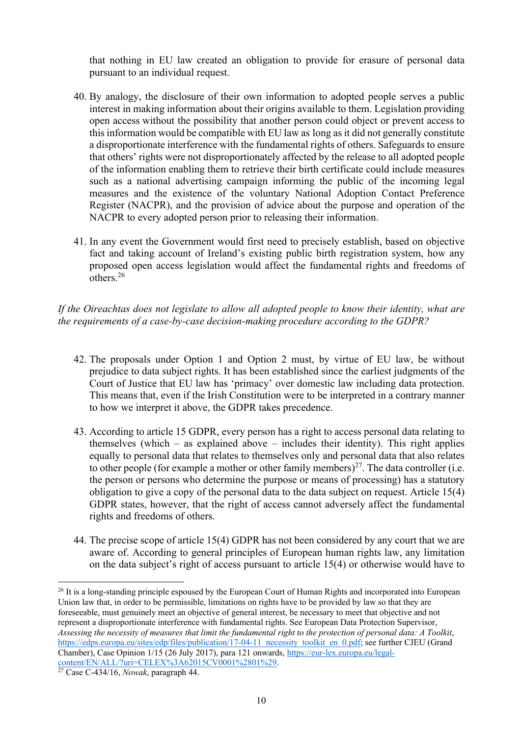that nothing in EU law created an obligation to provide for erasure of personal data pursuant to an individual request.

- 40. By analogy, the disclosure of their own information to adopted people serves a public interest in making information about their origins available to them. Legislation providing open access without the possibility that another person could object or prevent access to this information would be compatible with EU law as long as it did not generally constitute a disproportionate interference with the fundamental rights of others. Safeguards to ensure that others' rights were not disproportionately affected by the release to all adopted people of the information enabling them to retrieve their birth certificate could include measures such as a national advertising campaign informing the public of the incoming legal measures and the existence of the voluntary National Adoption Contact Preference Register (NACPR), and the provision of advice about the purpose and operation of the NACPR to every adopted person prior to releasing their information.
- 41. In any event the Government would first need to precisely establish, based on objective fact and taking account of Ireland's existing public birth registration system, how any proposed open access legislation would affect the fundamental rights and freedoms of others.26

*If the Oireachtas does not legislate to allow all adopted people to know their identity, what are the requirements of a case-by-case decision-making procedure according to the GDPR?* 

- 42. The proposals under Option 1 and Option 2 must, by virtue of EU law, be without prejudice to data subject rights. It has been established since the earliest judgments of the Court of Justice that EU law has 'primacy' over domestic law including data protection. This means that, even if the Irish Constitution were to be interpreted in a contrary manner to how we interpret it above, the GDPR takes precedence.
- 43. According to article 15 GDPR, every person has a right to access personal data relating to themselves (which – as explained above – includes their identity). This right applies equally to personal data that relates to themselves only and personal data that also relates to other people (for example a mother or other family members)<sup>27</sup>. The data controller (i.e. the person or persons who determine the purpose or means of processing) has a statutory obligation to give a copy of the personal data to the data subject on request. Article 15(4) GDPR states, however, that the right of access cannot adversely affect the fundamental rights and freedoms of others.
- 44. The precise scope of article 15(4) GDPR has not been considered by any court that we are aware of. According to general principles of European human rights law, any limitation on the data subject's right of access pursuant to article 15(4) or otherwise would have to

<sup>&</sup>lt;sup>26</sup> It is a long-standing principle espoused by the European Court of Human Rights and incorporated into European Union law that, in order to be permissible, limitations on rights have to be provided by law so that they are foreseeable, must genuinely meet an objective of general interest, be necessary to meet that objective and not represent a disproportionate interference with fundamental rights. See European Data Protection Supervisor, *Assessing the necessity of measures that limit the fundamental right to the protection of personal data: A Toolkit*, https://edps.europa.eu/sites/edp/files/publication/17-04-11\_necessity\_toolkit\_en\_0.pdf; see further CJEU (Grand Chamber), Case Opinion 1/15 (26 July 2017), para 121 onwards, https://eur-lex.europa.eu/legalcontent/EN/ALL/?uri=CELEX%3A62015CV0001%2801%29.

<sup>27</sup> Case C-434/16, *Nowak*, paragraph 44.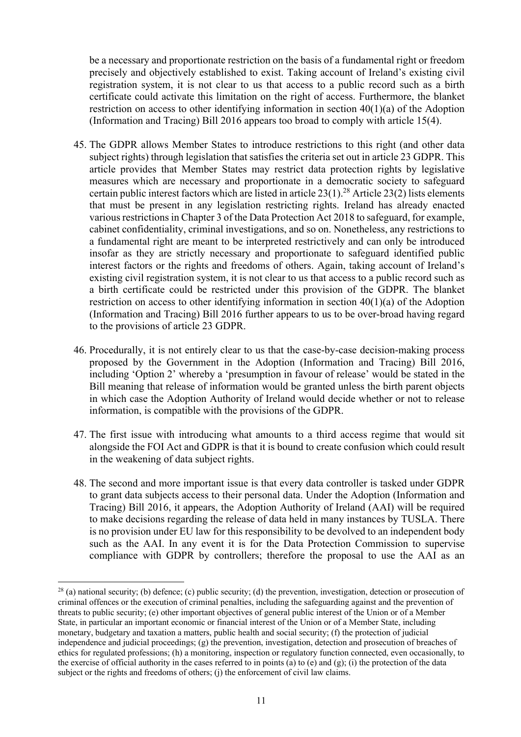be a necessary and proportionate restriction on the basis of a fundamental right or freedom precisely and objectively established to exist. Taking account of Ireland's existing civil registration system, it is not clear to us that access to a public record such as a birth certificate could activate this limitation on the right of access. Furthermore, the blanket restriction on access to other identifying information in section 40(1)(a) of the Adoption (Information and Tracing) Bill 2016 appears too broad to comply with article 15(4).

- 45. The GDPR allows Member States to introduce restrictions to this right (and other data subject rights) through legislation that satisfies the criteria set out in article 23 GDPR. This article provides that Member States may restrict data protection rights by legislative measures which are necessary and proportionate in a democratic society to safeguard certain public interest factors which are listed in article  $23(1).^{28}$  Article  $23(2)$  lists elements that must be present in any legislation restricting rights. Ireland has already enacted various restrictions in Chapter 3 of the Data Protection Act 2018 to safeguard, for example, cabinet confidentiality, criminal investigations, and so on. Nonetheless, any restrictions to a fundamental right are meant to be interpreted restrictively and can only be introduced insofar as they are strictly necessary and proportionate to safeguard identified public interest factors or the rights and freedoms of others. Again, taking account of Ireland's existing civil registration system, it is not clear to us that access to a public record such as a birth certificate could be restricted under this provision of the GDPR. The blanket restriction on access to other identifying information in section 40(1)(a) of the Adoption (Information and Tracing) Bill 2016 further appears to us to be over-broad having regard to the provisions of article 23 GDPR.
- 46. Procedurally, it is not entirely clear to us that the case-by-case decision-making process proposed by the Government in the Adoption (Information and Tracing) Bill 2016, including 'Option 2' whereby a 'presumption in favour of release' would be stated in the Bill meaning that release of information would be granted unless the birth parent objects in which case the Adoption Authority of Ireland would decide whether or not to release information, is compatible with the provisions of the GDPR.
- 47. The first issue with introducing what amounts to a third access regime that would sit alongside the FOI Act and GDPR is that it is bound to create confusion which could result in the weakening of data subject rights.
- 48. The second and more important issue is that every data controller is tasked under GDPR to grant data subjects access to their personal data. Under the Adoption (Information and Tracing) Bill 2016, it appears, the Adoption Authority of Ireland (AAI) will be required to make decisions regarding the release of data held in many instances by TUSLA. There is no provision under EU law for this responsibility to be devolved to an independent body such as the AAI. In any event it is for the Data Protection Commission to supervise compliance with GDPR by controllers; therefore the proposal to use the AAI as an

 $^{28}$  (a) national security; (b) defence; (c) public security; (d) the prevention, investigation, detection or prosecution of criminal offences or the execution of criminal penalties, including the safeguarding against and the prevention of threats to public security; (e) other important objectives of general public interest of the Union or of a Member State, in particular an important economic or financial interest of the Union or of a Member State, including monetary, budgetary and taxation a matters, public health and social security; (f) the protection of judicial independence and judicial proceedings; (g) the prevention, investigation, detection and prosecution of breaches of ethics for regulated professions; (h) a monitoring, inspection or regulatory function connected, even occasionally, to the exercise of official authority in the cases referred to in points (a) to (e) and  $(g)$ ; (i) the protection of the data subject or the rights and freedoms of others; (j) the enforcement of civil law claims.